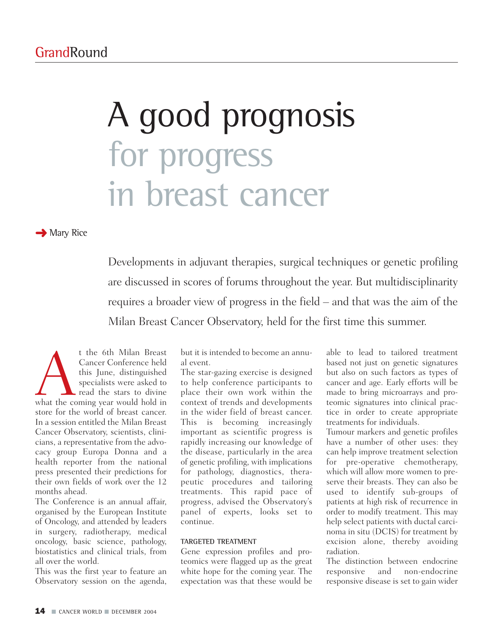# A good prognosis for progress in breast cancer

**→ Mary Rice** 

Developments in adjuvant therapies, surgical techniques or genetic profiling are discussed in scores of forums throughout the year. But multidisciplinarity requires a broader view of progress in the field – and that was the aim of the Milan Breast Cancer Observatory, held for the first time this summer.

t the 6th Milan Breast<br>
Cancer Conference held<br>
this June, distinguished<br>
specialists were asked to<br>
read the stars to divine<br>
what the coming year would hold in Cancer Conference held this June, distinguished specialists were asked to read the stars to divine store for the world of breast cancer. In a session entitled the Milan Breast Cancer Observatory, scientists, clinicians, a representative from the advocacy group Europa Donna and a health reporter from the national press presented their predictions for their own fields of work over the 12 months ahead.

The Conference is an annual affair, organised by the European Institute of Oncology, and attended by leaders in surgery, radiotherapy, medical oncology, basic science, pathology, biostatistics and clinical trials, from all over the world.

This was the first year to feature an Observatory session on the agenda, but it is intended to become an annual event.

The star-gazing exercise is designed to help conference participants to place their own work within the context of trends and developments in the wider field of breast cancer. This is becoming increasingly important as scientific progress is rapidly increasing our knowledge of the disease, particularly in the area of genetic profiling, with implications for pathology, diagnostics, therapeutic procedures and tailoring treatments. This rapid pace of progress, advised the Observatory's panel of experts, looks set to continue.

# **TARGETED TREATMENT**

Gene expression profiles and proteomics were flagged up as the great white hope for the coming year. The expectation was that these would be

able to lead to tailored treatment based not just on genetic signatures but also on such factors as types of cancer and age. Early efforts will be made to bring microarrays and proteomic signatures into clinical practice in order to create appropriate treatments for individuals.

Tumour markers and genetic profiles have a number of other uses: they can help improve treatment selection for pre-operative chemotherapy, which will allow more women to preserve their breasts. They can also be used to identify sub-groups of patients at high risk of recurrence in order to modify treatment. This may help select patients with ductal carcinoma in situ (DCIS) for treatment by excision alone, thereby avoiding radiation.

The distinction between endocrine responsive and non-endocrine responsive disease is set to gain wider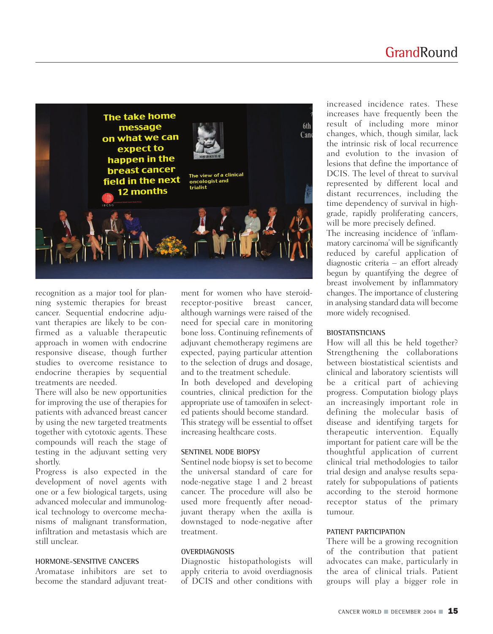

recognition as a major tool for planning systemic therapies for breast cancer. Sequential endocrine adjuvant therapies are likely to be confirmed as a valuable therapeutic approach in women with endocrine responsive disease, though further studies to overcome resistance to endocrine therapies by sequential treatments are needed.

There will also be new opportunities for improving the use of therapies for patients with advanced breast cancer by using the new targeted treatments together with cytotoxic agents. These compounds will reach the stage of testing in the adjuvant setting very shortly.

Progress is also expected in the development of novel agents with one or a few biological targets, using advanced molecular and immunological technology to overcome mechanisms of malignant transformation, infiltration and metastasis which are still unclear.

# **HORMONE-SENSITIVE CANCERS**

Aromatase inhibitors are set to become the standard adjuvant treatment for women who have steroidreceptor-positive breast cancer, although warnings were raised of the need for special care in monitoring bone loss. Continuing refinements of adjuvant chemotherapy regimens are expected, paying particular attention to the selection of drugs and dosage, and to the treatment schedule.

In both developed and developing countries, clinical prediction for the appropriate use of tamoxifen in selected patients should become standard. This strategy will be essential to offset increasing healthcare costs.

# **SENTINEL NODE BIOPSY**

Sentinel node biopsy is set to become the universal standard of care for node-negative stage 1 and 2 breast cancer. The procedure will also be used more frequently after neoadjuvant therapy when the axilla is downstaged to node-negative after treatment.

#### **OVERDIAGNOSIS**

Diagnostic histopathologists will apply criteria to avoid overdiagnosis of DCIS and other conditions with

increased incidence rates. These increases have frequently been the result of including more minor changes, which, though similar, lack the intrinsic risk of local recurrence and evolution to the invasion of lesions that define the importance of DCIS. The level of threat to survival represented by different local and distant recurrences, including the time dependency of survival in highgrade, rapidly proliferating cancers, will be more precisely defined.

The increasing incidence of 'inflammatory carcinoma' will be significantly reduced by careful application of diagnostic criteria – an effort already begun by quantifying the degree of breast involvement by inflammatory changes. The importance of clustering in analysing standard data will become more widely recognised.

#### **BIOSTATISTICIANS**

How will all this be held together? Strengthening the collaborations between biostatistical scientists and clinical and laboratory scientists will be a critical part of achieving progress. Computation biology plays an increasingly important role in defining the molecular basis of disease and identifying targets for therapeutic intervention. Equally important for patient care will be the thoughtful application of current clinical trial methodologies to tailor trial design and analyse results separately for subpopulations of patients according to the steroid hormone receptor status of the primary tumour.

# **PATIENT PARTICIPATION**

There will be a growing recognition of the contribution that patient advocates can make, particularly in the area of clinical trials. Patient groups will play a bigger role in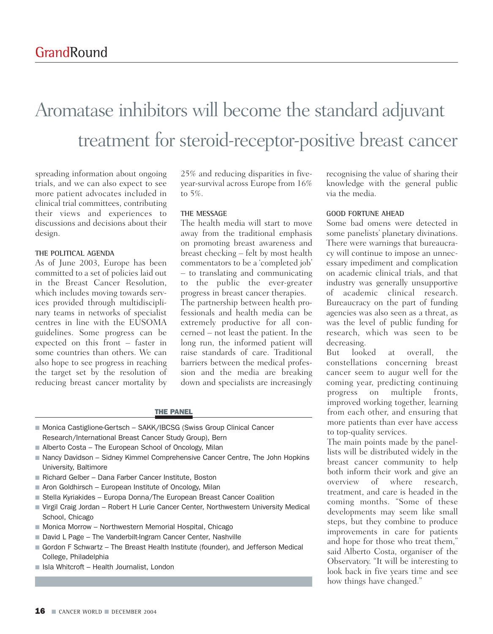# Aromatase inhibitors will become the standard adjuvant treatment for steroid-receptor-positive breast cancer

spreading information about ongoing trials, and we can also expect to see more patient advocates included in clinical trial committees, contributing their views and experiences to discussions and decisions about their design.

#### **THE POLITICAL AGENDA**

As of June 2003, Europe has been committed to a set of policies laid out in the Breast Cancer Resolution, which includes moving towards services provided through multidisciplinary teams in networks of specialist centres in line with the EUSOMA guidelines. Some progress can be expected on this front – faster in some countries than others. We can also hope to see progress in reaching the target set by the resolution of reducing breast cancer mortality by

25% and reducing disparities in fiveyear-survival across Europe from 16% to 5%.

### **THE MESSAGE**

The health media will start to move away from the traditional emphasis on promoting breast awareness and breast checking – felt by most health commentators to be a 'completed job' – to translating and communicating to the public the ever-greater progress in breast cancer therapies.

The partnership between health professionals and health media can be extremely productive for all concerned – not least the patient. In the long run, the informed patient will raise standards of care. Traditional barriers between the medical profession and the media are breaking down and specialists are increasingly

THE PANEL

- Monica Castiglione-Gertsch SAKK/IBCSG (Swiss Group Clinical Cancer Research/International Breast Cancer Study Group), Bern
- Alberto Costa The European School of Oncology, Milan
- Nancy Davidson Sidney Kimmel Comprehensive Cancer Centre, The John Hopkins University, Baltimore
- Richard Gelber Dana Farber Cancer Institute, Boston
- Aron Goldhirsch European Institute of Oncology, Milan
- Stella Kyriakides Europa Donna/The European Breast Cancer Coalition
- Virgil Craig Jordan Robert H Lurie Cancer Center, Northwestern University Medical School, Chicago
- Monica Morrow Northwestern Memorial Hospital, Chicago
- David L Page The Vanderbilt-Ingram Cancer Center, Nashville
- Gordon F Schwartz The Breast Health Institute (founder), and Jefferson Medical College, Philadelphia
- Isla Whitcroft Health Journalist, London

recognising the value of sharing their knowledge with the general public via the media.

#### **GOOD FORTUNE AHEAD**

Some bad omens were detected in some panelists' planetary divinations. There were warnings that bureaucracy will continue to impose an unnecessary impediment and complication on academic clinical trials, and that industry was generally unsupportive of academic clinical research. Bureaucracy on the part of funding agencies was also seen as a threat, as was the level of public funding for research, which was seen to be decreasing.

But looked at overall, the constellations concerning breast cancer seem to augur well for the coming year, predicting continuing progress on multiple fronts, improved working together, learning from each other, and ensuring that more patients than ever have access to top-quality services.

The main points made by the panellists will be distributed widely in the breast cancer community to help both inform their work and give an overview of where research, treatment, and care is headed in the coming months. "Some of these developments may seem like small steps, but they combine to produce improvements in care for patients and hope for those who treat them," said Alberto Costa, organiser of the Observatory. "It will be interesting to look back in five years time and see how things have changed."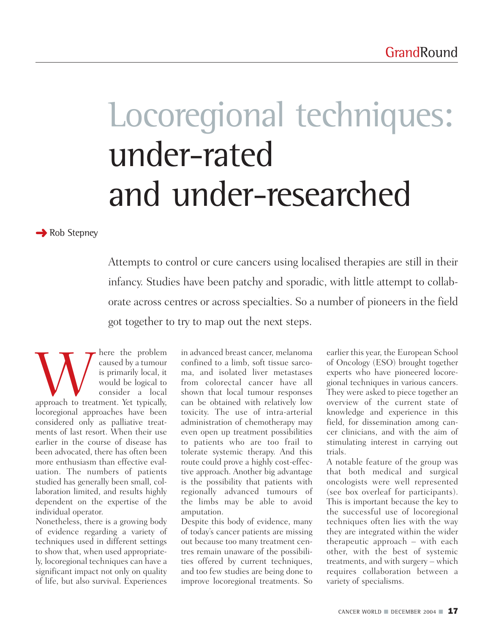# Locoregional techniques: under-rated and under-researched

**→** Rob Stepney

Attempts to control or cure cancers using localised therapies are still in their infancy. Studies have been patchy and sporadic, with little attempt to collaborate across centres or across specialties. So a number of pioneers in the field got together to try to map out the next steps.

Where the problem<br>
is primarily local, it<br>
would be logical to<br>
consider a local<br>
approach to treatment. Yet typically, caused by a tumour is primarily local, it would be logical to consider a local locoregional approaches have been considered only as palliative treatments of last resort. When their use earlier in the course of disease has been advocated, there has often been more enthusiasm than effective evaluation. The numbers of patients studied has generally been small, collaboration limited, and results highly dependent on the expertise of the individual operator.

Nonetheless, there is a growing body of evidence regarding a variety of techniques used in different settings to show that, when used appropriately, locoregional techniques can have a significant impact not only on quality of life, but also survival. Experiences

in advanced breast cancer, melanoma confined to a limb, soft tissue sarcoma, and isolated liver metastases from colorectal cancer have all shown that local tumour responses can be obtained with relatively low toxicity. The use of intra-arterial administration of chemotherapy may even open up treatment possibilities to patients who are too frail to tolerate systemic therapy. And this route could prove a highly cost-effective approach. Another big advantage is the possibility that patients with regionally advanced tumours of the limbs may be able to avoid amputation.

Despite this body of evidence, many of today's cancer patients are missing out because too many treatment centres remain unaware of the possibilities offered by current techniques, and too few studies are being done to improve locoregional treatments. So

earlier this year, the European School of Oncology (ESO) brought together experts who have pioneered locoregional techniques in various cancers. They were asked to piece together an overview of the current state of knowledge and experience in this field, for dissemination among cancer clinicians, and with the aim of stimulating interest in carrying out trials.

A notable feature of the group was that both medical and surgical oncologists were well represented (see box overleaf for participants). This is important because the key to the successful use of locoregional techniques often lies with the way they are integrated within the wider therapeutic approach – with each other, with the best of systemic treatments, and with surgery – which requires collaboration between a variety of specialisms.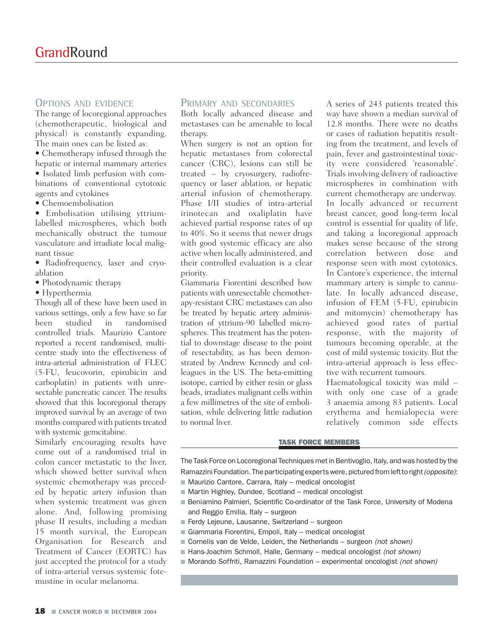# **OPTIONS AND EVIDENCE**

The range of locoregional approaches (chemotherapeutic, biological and physical) is constantly expanding. The main ones can be listed as:

• Chemotherapy infused through the hepatic or internal mammary arteries • Isolated limb perfusion with com-

binations of conventional cytotoxic agents and cytokines

• Chemoembolisation

• Embolisation utilising yttriumlabelled microspheres, which both mechanically obstruct the tumour vasculature and irradiate local malignant tissue

• Radiofrequency, laser and cryoablation

- Photodynamic therapy
- Hyperthermia

Though all of these have been used in various settings, only a few have so far been studied in randomised controlled trials. Maurizio Cantore reported a recent randomised, multicentre study into the effectiveness of intra-arterial administration of FLEC (5-FU, leucovorin, epirubicin and carboplatin) in patients with unresectable pancreatic cancer. The results showed that this locoregional therapy improved survival by an average of two months compared with patients treated with systemic gemcitabine.

Similarly encouraging results have come out of a randomised trial in colon cancer metastatic to the liver, which showed better survival when systemic chemotherapy was preceded by hepatic artery infusion than when systemic treatment was given alone. And, following promising phase II results, including a median 15 month survival, the European Organisation for Research and Treatment of Cancer (EORTC) has just accepted the protocol for a study of intra-arterial versus systemic fotemustine in ocular melanoma.

### **PRIMARY AND SECONDARIES**

Both locally advanced disease and metastases can be amenable to local therapy.

When surgery is not an option for hepatic metastases from colorectal cancer (CRC), lesions can still be treated – by cryosurgery, radiofrequency or laser ablation, or hepatic arterial infusion of chemotherapy. Phase I/II studies of intra-arterial irinotecan and oxaliplatin have achieved partial response rates of up to 40%. So it seems that newer drugs with good systemic efficacy are also active when locally administered, and their controlled evaluation is a clear priority.

Giammaria Fiorentini described how patients with unresectable chemotherapy-resistant CRC metastases can also be treated by hepatic artery administration of yttrium-90 labelled microspheres. This treatment has the potential to downstage disease to the point of resectability, as has been demonstrated by Andrew Kennedy and colleagues in the US. The beta-emitting isotope, carried by either resin or glass beads, irradiates malignant cells within a few millimetres of the site of embolisation, while delivering little radiation to normal liver.

A series of 243 patients treated this way have shown a median survival of 12.8 months. There were no deaths or cases of radiation hepatitis resulting from the treatment, and levels of pain, fever and gastrointestinal toxicity were considered 'reasonable'. Trials involving delivery of radioactive microspheres in combination with current chemotherapy are underway. In locally advanced or recurrent breast cancer, good long-term local control is essential for quality of life, and taking a locoregional approach makes sense because of the strong correlation between dose and response seen with most cytotoxics. In Cantore's experience, the internal mammary artery is simple to cannulate. In locally advanced disease, infusion of FEM (5-FU, epirubicin and mitomycin) chemotherapy has achieved good rates of partial response, with the majority of tumours becoming operable, at the cost of mild systemic toxicity. But the intra-arterial approach is less effective with recurrent tumours.

Haematological toxicity was mild – with only one case of a grade 3 anaemia among 83 patients. Local erythema and hemialopecia were relatively common side effects

#### TASK FORCE MEMBERS

The Task Force on Locoregional Techniques met in Bentivoglio, Italy, and was hosted by the Ramazzini Foundation. The participating experts were, pictured from left to right*(opposite)*:

- Maurizio Cantore, Carrara, Italy medical oncologist
- Martin Highley, Dundee, Scotland medical oncologist
- Beniamino Palmieri, Scientific Co-ordinator of the Task Force, University of Modena and Reggio Emilia, Italy – surgeon
- Ferdy Lejeune, Lausanne, Switzerland surgeon
- Giammaria Fiorentini, Empoli, Italy medical oncologist
- Cornelis van de Velde, Leiden, the Netherlands surgeon *(not shown)*
- Hans-Joachim Schmoll, Halle, Germany medical oncologist *(not shown)*
- Morando Soffriti, Ramazzini Foundation experimental oncologist *(not shown)*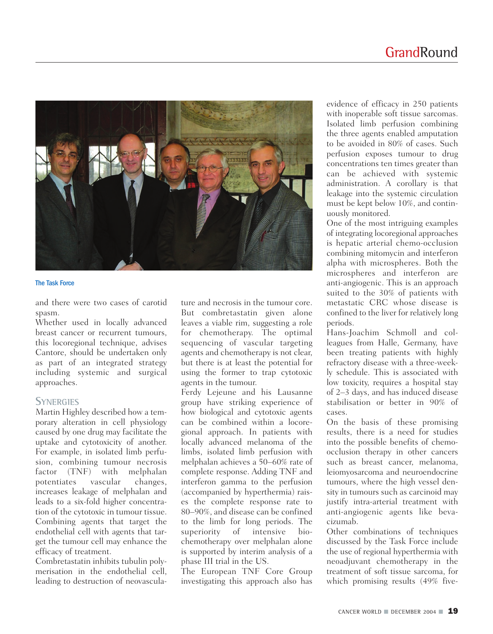

#### The Task Force

and there were two cases of carotid spasm.

Whether used in locally advanced breast cancer or recurrent tumours, this locoregional technique, advises Cantore, should be undertaken only as part of an integrated strategy including systemic and surgical approaches.

# **SYNERGIES**

Martin Highley described how a temporary alteration in cell physiology caused by one drug may facilitate the uptake and cytotoxicity of another. For example, in isolated limb perfusion, combining tumour necrosis factor (TNF) with melphalan potentiates vascular changes, increases leakage of melphalan and leads to a six-fold higher concentration of the cytotoxic in tumour tissue. Combining agents that target the endothelial cell with agents that target the tumour cell may enhance the efficacy of treatment.

Combretastatin inhibits tubulin polymerisation in the endothelial cell, leading to destruction of neovasculature and necrosis in the tumour core. But combretastatin given alone leaves a viable rim, suggesting a role for chemotherapy. The optimal sequencing of vascular targeting agents and chemotherapy is not clear, but there is at least the potential for using the former to trap cytotoxic agents in the tumour.

Ferdy Lejeune and his Lausanne group have striking experience of how biological and cytotoxic agents can be combined within a locoregional approach. In patients with locally advanced melanoma of the limbs, isolated limb perfusion with melphalan achieves a 50–60% rate of complete response. Adding TNF and interferon gamma to the perfusion (accompanied by hyperthermia) raises the complete response rate to 80–90%, and disease can be confined to the limb for long periods. The superiority of intensive biochemotherapy over melphalan alone is supported by interim analysis of a phase III trial in the US.

The European TNF Core Group investigating this approach also has

evidence of efficacy in 250 patients with inoperable soft tissue sarcomas. Isolated limb perfusion combining the three agents enabled amputation to be avoided in 80% of cases. Such perfusion exposes tumour to drug concentrations ten times greater than can be achieved with systemic administration. A corollary is that leakage into the systemic circulation must be kept below 10%, and continuously monitored.

One of the most intriguing examples of integrating locoregional approaches is hepatic arterial chemo-occlusion combining mitomycin and interferon alpha with microspheres. Both the microspheres and interferon are anti-angiogenic. This is an approach suited to the 30% of patients with metastatic CRC whose disease is confined to the liver for relatively long periods.

Hans-Joachim Schmoll and colleagues from Halle, Germany, have been treating patients with highly refractory disease with a three-weekly schedule. This is associated with low toxicity, requires a hospital stay of 2–3 days, and has induced disease stabilisation or better in 90% of cases.

On the basis of these promising results, there is a need for studies into the possible benefits of chemoocclusion therapy in other cancers such as breast cancer, melanoma, leiomyosarcoma and neuroendocrine tumours, where the high vessel density in tumours such as carcinoid may justify intra-arterial treatment with anti-angiogenic agents like bevacizumab.

Other combinations of techniques discussed by the Task Force include the use of regional hyperthermia with neoadjuvant chemotherapy in the treatment of soft tissue sarcoma, for which promising results (49% five